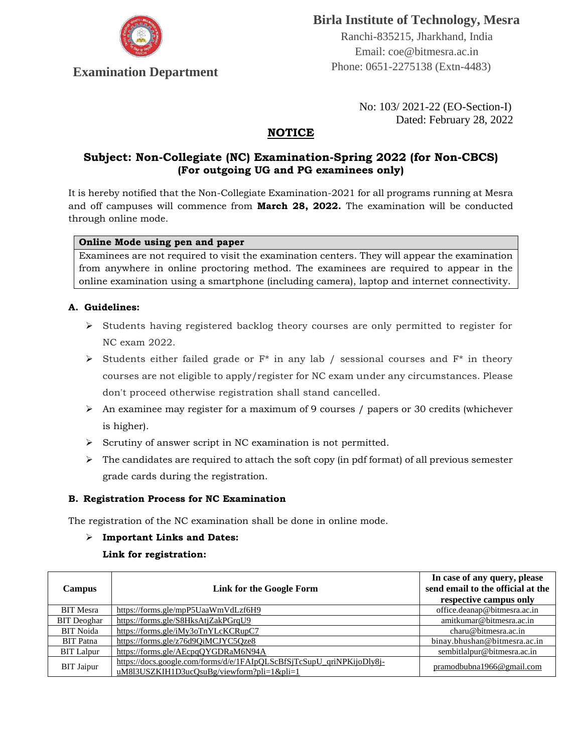

# **Birla Institute of Technology, Mesra**

 Ranchi-835215, Jharkhand, India Email: coe@bitmesra.ac.in **Examination Department** Phone: 0651-2275138 (Extn-4483)

> No: 103/ 2021-22 (EO-Section-I) Dated: February 28, 2022

# **NOTICE**

# **Subject: Non-Collegiate (NC) Examination-Spring 2022 (for Non-CBCS) (For outgoing UG and PG examinees only)**

It is hereby notified that the Non-Collegiate Examination-2021 for all programs running at Mesra and off campuses will commence from **March 28, 2022.** The examination will be conducted through online mode.

#### **Online Mode using pen and paper**

Examinees are not required to visit the examination centers. They will appear the examination from anywhere in online proctoring method. The examinees are required to appear in the online examination using a smartphone (including camera), laptop and internet connectivity.

## **A. Guidelines:**

- ➢ Students having registered backlog theory courses are only permitted to register for NC exam 2022.
- $\triangleright$  Students either failed grade or F<sup>\*</sup> in any lab / sessional courses and F<sup>\*</sup> in theory courses are not eligible to apply/register for NC exam under any circumstances. Please don't proceed otherwise registration shall stand cancelled.
- $\triangleright$  An examinee may register for a maximum of 9 courses / papers or 30 credits (whichever is higher).
- ➢ Scrutiny of answer script in NC examination is not permitted.
- $\triangleright$  The candidates are required to attach the soft copy (in pdf format) of all previous semester grade cards during the registration.

## **B. Registration Process for NC Examination**

The registration of the NC examination shall be done in online mode.

#### ➢ **Important Links and Dates:**

#### **Link for registration:**

| <b>Campus</b>      | <b>Link for the Google Form</b>                                                                                     | In case of any query, please<br>send email to the official at the<br>respective campus only |
|--------------------|---------------------------------------------------------------------------------------------------------------------|---------------------------------------------------------------------------------------------|
| <b>BIT</b> Mesra   | https://forms.gle/mpP5UaaWmVdLzf6H9                                                                                 | office.deanap@bitmesra.ac.in                                                                |
| <b>BIT</b> Deoghar | https://forms.gle/S8HksAtjZakPGrqU9                                                                                 | amitkumar@bitmesra.ac.in                                                                    |
| <b>BIT</b> Noida   | https://forms.gle/iMy3oTnYLcKCRupC7                                                                                 | charu@bitmesra.ac.in                                                                        |
| <b>BIT</b> Patna   | https://forms.gle/z76d9OiMCJYC5Oze8                                                                                 | binay.bhushan@bitmesra.ac.in                                                                |
| <b>BIT</b> Lalpur  | https://forms.gle/AEcpqOYGDRaM6N94A                                                                                 | sembitlalpur@bitmesra.ac.in                                                                 |
| <b>BIT</b> Jaipur  | https://docs.google.com/forms/d/e/1FAIpQLScBfSjTcSupU_qriNPKijoDly8j-<br>uM8l3USZKIH1D3ucQsuBg/viewform?pli=1&pli=1 | pramodbubna1966@gmail.com                                                                   |